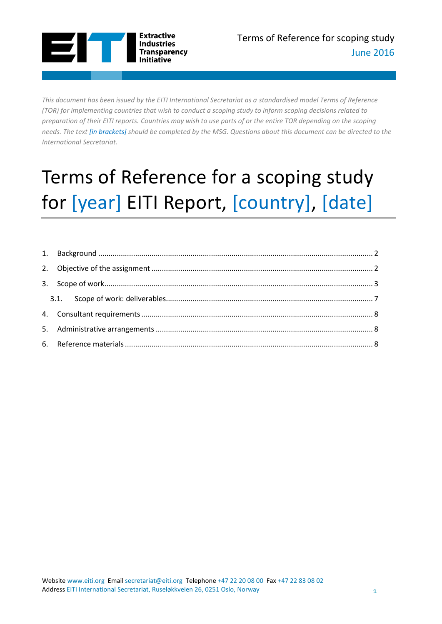

*This document has been issued by the EITI International Secretariat as a standardised model Terms of Reference (TOR) for implementing countries that wish to conduct a scoping study to inform scoping decisions related to preparation of their EITI reports. Countries may wish to use parts of or the entire TOR depending on the scoping needs. The text [in brackets] should be completed by the MSG. Questions about this document can be directed to the International Secretariat.*

# Terms of Reference for a scoping study for [year] EITI Report, [country], [date]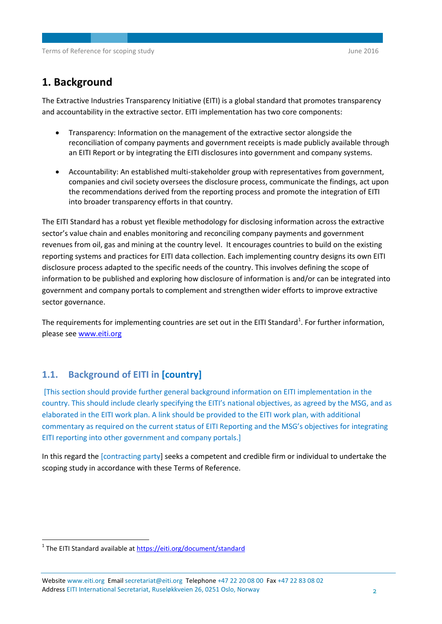## <span id="page-1-0"></span>**1. Background**

The Extractive Industries Transparency Initiative (EITI) is a global standard that promotes transparency and accountability in the extractive sector. EITI implementation has two core components:

- Transparency: Information on the management of the extractive sector alongside the reconciliation of company payments and government receipts is made publicly available through an EITI Report or by integrating the EITI disclosures into government and company systems.
- Accountability: An established multi-stakeholder group with representatives from government, companies and civil society oversees the disclosure process, communicate the findings, act upon the recommendations derived from the reporting process and promote the integration of EITI into broader transparency efforts in that country.

The EITI Standard has a robust yet flexible methodology for disclosing information across the extractive sector's value chain and enables monitoring and reconciling company payments and government revenues from oil, gas and mining at the country level. It encourages countries to build on the existing reporting systems and practices for EITI data collection. Each implementing country designs its own EITI disclosure process adapted to the specific needs of the country. This involves defining the scope of information to be published and exploring how disclosure of information is and/or can be integrated into government and company portals to complement and strengthen wider efforts to improve extractive sector governance.

The requirements for implementing countries are set out in the EITI Standard<sup>1</sup>. For further information, please se[e www.eiti.org](http://www.eiti.org/)

### **1.1. Background of EITI in [country]**

[This section should provide further general background information on EITI implementation in the country. This should include clearly specifying the EITI's national objectives, as agreed by the MSG, and as elaborated in the EITI work plan. A link should be provided to the EITI work plan, with additional commentary as required on the current status of EITI Reporting and the MSG's objectives for integrating EITI reporting into other government and company portals.]

<span id="page-1-1"></span>In this regard the [contracting party] seeks a competent and credible firm or individual to undertake the scoping study in accordance with these Terms of Reference.

1

<sup>&</sup>lt;sup>1</sup> The EITI Standard available at **https://eiti.org/document/standard** 

Website www.eiti.org Email secretariat@eiti.org Telephone +47 22 20 08 00 Fax +47 22 83 08 02 Address EITI International Secretariat, Ruseløkkveien 26, 0251 Oslo, Norway 2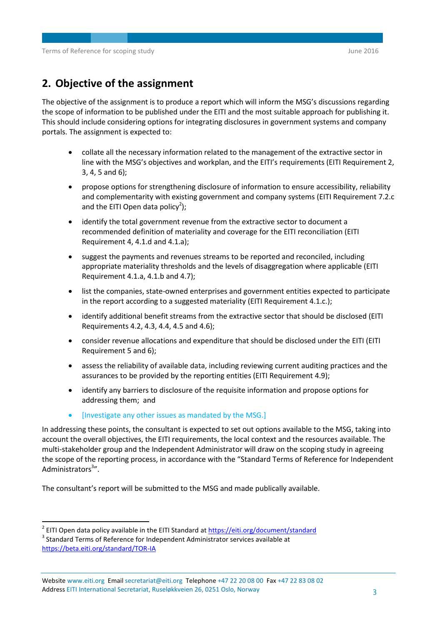## **2. Objective of the assignment**

The objective of the assignment is to produce a report which will inform the MSG's discussions regarding the scope of information to be published under the EITI and the most suitable approach for publishing it. This should include considering options for integrating disclosures in government systems and company portals. The assignment is expected to:

- collate all the necessary information related to the management of the extractive sector in line with the MSG's objectives and workplan, and the EITI's requirements (EITI Requirement 2, 3, 4, 5 and 6);
- propose options for strengthening disclosure of information to ensure accessibility, reliability and complementarity with existing government and company systems (EITI Requirement 7.2.c and the EITI Open data policy<sup>2</sup>);
- identify the total government revenue from the extractive sector to document a recommended definition of materiality and coverage for the EITI reconciliation (EITI Requirement 4, 4.1.d and 4.1.a);
- suggest the payments and revenues streams to be reported and reconciled, including appropriate materiality thresholds and the levels of disaggregation where applicable (EITI Requirement 4.1.a, 4.1.b and 4.7);
- list the companies, state-owned enterprises and government entities expected to participate in the report according to a suggested materiality (EITI Requirement 4.1.c.);
- identify additional benefit streams from the extractive sector that should be disclosed (EITI Requirements 4.2, 4.3, 4.4, 4.5 and 4.6);
- consider revenue allocations and expenditure that should be disclosed under the EITI (EITI Requirement 5 and 6);
- assess the reliability of available data, including reviewing current auditing practices and the assurances to be provided by the reporting entities (EITI Requirement 4.9);
- identify any barriers to disclosure of the requisite information and propose options for addressing them; and
- [Investigate any other issues as mandated by the MSG.]

In addressing these points, the consultant is expected to set out options available to the MSG, taking into account the overall objectives, the EITI requirements, the local context and the resources available. The multi-stakeholder group and the Independent Administrator will draw on the scoping study in agreeing the scope of the reporting process, in accordance with the "Standard Terms of Reference for Independent Administrators<sup>3</sup>".

The consultant's report will be submitted to the MSG and made publically available.

<span id="page-2-0"></span>1

<sup>&</sup>lt;sup>2</sup> EITI Open data policy available in the EITI Standard at **https://eiti.org/document/standard** 

 $3$  Standard Terms of Reference for Independent Administrator services available at <https://beta.eiti.org/standard/TOR-IA>

Website www.eiti.org Email secretariat@eiti.org Telephone +47 22 20 08 00 Fax +47 22 83 08 02 Address EITI International Secretariat, Ruseløkkveien 26, 0251 Oslo, Norway 3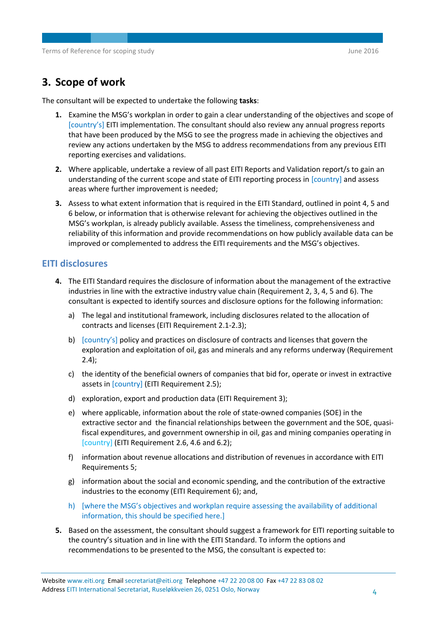## **3. Scope of work**

The consultant will be expected to undertake the following **tasks**:

- **1.** Examine the MSG's workplan in order to gain a clear understanding of the objectives and scope of [country's] EITI implementation. The consultant should also review any annual progress reports that have been produced by the MSG to see the progress made in achieving the objectives and review any actions undertaken by the MSG to address recommendations from any previous EITI reporting exercises and validations.
- **2.** Where applicable, undertake a review of all past EITI Reports and Validation report/s to gain an understanding of the current scope and state of EITI reporting process in [country] and assess areas where further improvement is needed;
- **3.** Assess to what extent information that is required in the EITI Standard, outlined in point 4, 5 and 6 below, or information that is otherwise relevant for achieving the objectives outlined in the MSG's workplan, is already publicly available. Assess the timeliness, comprehensiveness and reliability of this information and provide recommendations on how publicly available data can be improved or complemented to address the EITI requirements and the MSG's objectives.

#### **EITI disclosures**

- **4.** The EITI Standard requires the disclosure of information about the management of the extractive industries in line with the extractive industry value chain (Requirement 2, 3, 4, 5 and 6). The consultant is expected to identify sources and disclosure options for the following information:
	- a) The legal and institutional framework, including disclosures related to the allocation of contracts and licenses (EITI Requirement 2.1-2.3);
	- b) [country's] policy and practices on disclosure of contracts and licenses that govern the exploration and exploitation of oil, gas and minerals and any reforms underway (Requirement 2.4);
	- c) the identity of the beneficial owners of companies that bid for, operate or invest in extractive assets in [country] (EITI Requirement 2.5);
	- d) exploration, export and production data (EITI Requirement 3);
	- e) where applicable, information about the role of state-owned companies (SOE) in the extractive sector and the financial relationships between the government and the SOE, quasifiscal expenditures, and government ownership in oil, gas and mining companies operating in [country] (EITI Requirement 2.6, 4.6 and 6.2);
	- f) information about revenue allocations and distribution of revenues in accordance with EITI Requirements 5;
	- g) information about the social and economic spending, and the contribution of the extractive industries to the economy (EITI Requirement 6); and,
	- h) [where the MSG's objectives and workplan require assessing the availability of additional information, this should be specified here.]
- **5.** Based on the assessment, the consultant should suggest a framework for EITI reporting suitable to the country's situation and in line with the EITI Standard. To inform the options and recommendations to be presented to the MSG, the consultant is expected to: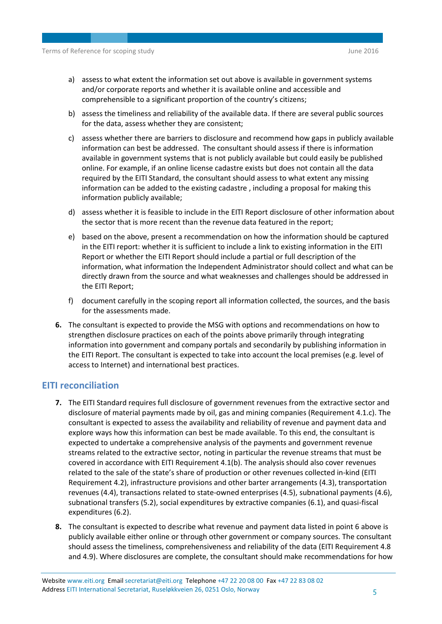- a) assess to what extent the information set out above is available in government systems and/or corporate reports and whether it is available online and accessible and comprehensible to a significant proportion of the country's citizens;
- b) assess the timeliness and reliability of the available data. If there are several public sources for the data, assess whether they are consistent;
- c) assess whether there are barriers to disclosure and recommend how gaps in publicly available information can best be addressed. The consultant should assess if there is information available in government systems that is not publicly available but could easily be published online. For example, if an online license cadastre exists but does not contain all the data required by the EITI Standard, the consultant should assess to what extent any missing information can be added to the existing cadastre , including a proposal for making this information publicly available;
- d) assess whether it is feasible to include in the EITI Report disclosure of other information about the sector that is more recent than the revenue data featured in the report;
- e) based on the above, present a recommendation on how the information should be captured in the EITI report: whether it is sufficient to include a link to existing information in the EITI Report or whether the EITI Report should include a partial or full description of the information, what information the Independent Administrator should collect and what can be directly drawn from the source and what weaknesses and challenges should be addressed in the EITI Report;
- f) document carefully in the scoping report all information collected, the sources, and the basis for the assessments made.
- **6.** The consultant is expected to provide the MSG with options and recommendations on how to strengthen disclosure practices on each of the points above primarily through integrating information into government and company portals and secondarily by publishing information in the EITI Report. The consultant is expected to take into account the local premises (e.g. level of access to Internet) and international best practices.

#### **EITI reconciliation**

- **7.** The EITI Standard requires full disclosure of government revenues from the extractive sector and disclosure of material payments made by oil, gas and mining companies (Requirement 4.1.c). The consultant is expected to assess the availability and reliability of revenue and payment data and explore ways how this information can best be made available. To this end, the consultant is expected to undertake a comprehensive analysis of the payments and government revenue streams related to the extractive sector, noting in particular the revenue streams that must be covered in accordance with EITI Requirement 4.1(b). The analysis should also cover revenues related to the sale of the state's share of production or other revenues collected in-kind (EITI Requirement 4.2), infrastructure provisions and other barter arrangements (4.3), transportation revenues (4.4), transactions related to state-owned enterprises (4.5), subnational payments (4.6), subnational transfers (5.2), social expenditures by extractive companies (6.1), and quasi-fiscal expenditures (6.2).
- **8.** The consultant is expected to describe what revenue and payment data listed in point 6 above is publicly available either online or through other government or company sources. The consultant should assess the timeliness, comprehensiveness and reliability of the data (EITI Requirement 4.8 and 4.9). Where disclosures are complete, the consultant should make recommendations for how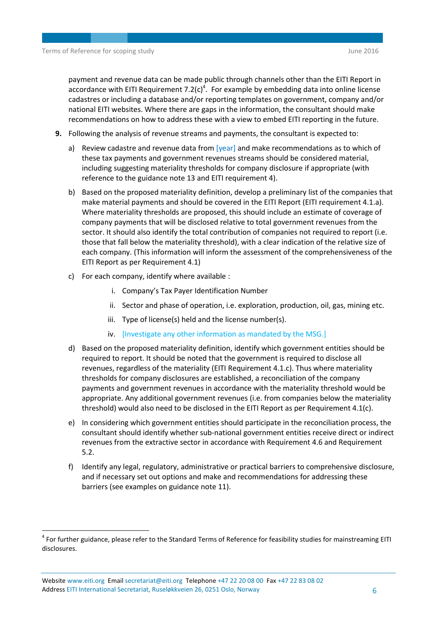payment and revenue data can be made public through channels other than the EITI Report in accordance with EITI Requirement  $7.2(c)^4$ . For example by embedding data into online license cadastres or including a database and/or reporting templates on government, company and/or national EITI websites. Where there are gaps in the information, the consultant should make recommendations on how to address these with a view to embed EITI reporting in the future.

- **9.** Following the analysis of revenue streams and payments, the consultant is expected to:
	- a) Review cadastre and revenue data from  $[year]$  and make recommendations as to which of these tax payments and government revenues streams should be considered material, including suggesting materiality thresholds for company disclosure if appropriate (with reference to the guidance note 13 and EITI requirement 4).
	- b) Based on the proposed materiality definition, develop a preliminary list of the companies that make material payments and should be covered in the EITI Report (EITI requirement 4.1.a). Where materiality thresholds are proposed, this should include an estimate of coverage of company payments that will be disclosed relative to total government revenues from the sector. It should also identify the total contribution of companies not required to report (i.e. those that fall below the materiality threshold), with a clear indication of the relative size of each company. (This information will inform the assessment of the comprehensiveness of the EITI Report as per Requirement 4.1)
	- c) For each company, identify where available :
		- i. Company's Tax Payer Identification Number
		- ii. Sector and phase of operation, i.e. exploration, production, oil, gas, mining etc.
		- iii. Type of license(s) held and the license number(s).
		- iv. [Investigate any other information as mandated by the MSG.]
	- d) Based on the proposed materiality definition, identify which government entities should be required to report. It should be noted that the government is required to disclose all revenues, regardless of the materiality (EITI Requirement 4.1.c). Thus where materiality thresholds for company disclosures are established, a reconciliation of the company payments and government revenues in accordance with the materiality threshold would be appropriate. Any additional government revenues (i.e. from companies below the materiality threshold) would also need to be disclosed in the EITI Report as per Requirement 4.1(c).
	- e) In considering which government entities should participate in the reconciliation process, the consultant should identify whether sub-national government entities receive direct or indirect revenues from the extractive sector in accordance with Requirement 4.6 and Requirement 5.2.
	- f) Identify any legal, regulatory, administrative or practical barriers to comprehensive disclosure, and if necessary set out options and make and recommendations for addressing these barriers (see examples on guidance note 11).

**.** 

<sup>&</sup>lt;sup>4</sup> For further guidance, please refer to the Standard Terms of Reference for feasibility studies for mainstreaming EITI disclosures.

Website www.eiti.org Email secretariat@eiti.org Telephone +47 22 20 08 00 Fax +47 22 83 08 02 Address EITI International Secretariat, Ruseløkkveien 26, 0251 Oslo, Norway 6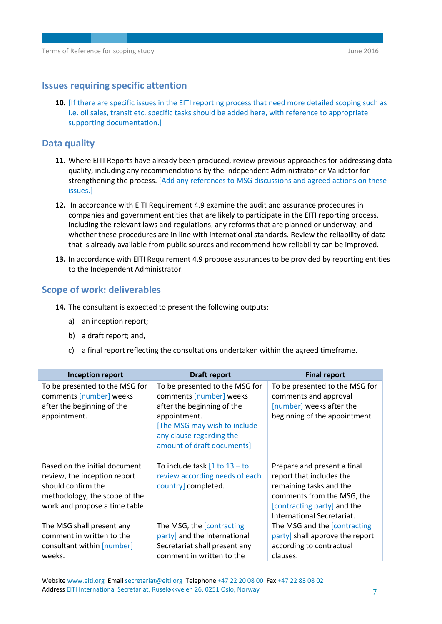#### **Issues requiring specific attention**

**10.** [If there are specific issues in the EITI reporting process that need more detailed scoping such as i.e. oil sales, transit etc. specific tasks should be added here, with reference to appropriate supporting documentation.]

#### **Data quality**

- **11.** Where EITI Reports have already been produced, review previous approaches for addressing data quality, including any recommendations by the Independent Administrator or Validator for strengthening the process. [Add any references to MSG discussions and agreed actions on these issues.]
- **12.** In accordance with EITI Requirement 4.9 examine the audit and assurance procedures in companies and government entities that are likely to participate in the EITI reporting process, including the relevant laws and regulations, any reforms that are planned or underway, and whether these procedures are in line with international standards. Review the reliability of data that is already available from public sources and recommend how reliability can be improved.
- **13.** In accordance with EITI Requirement 4.9 propose assurances to be provided by reporting entities to the Independent Administrator.

#### <span id="page-6-0"></span>**Scope of work: deliverables**

- **14.** The consultant is expected to present the following outputs:
	- a) an inception report;
	- b) a draft report; and,
	- c) a final report reflecting the consultations undertaken within the agreed timeframe.

| <b>Inception report</b>                                                                                                                                | <b>Draft report</b>                                                                                                                                                                               | <b>Final report</b>                                                                                                                                                           |
|--------------------------------------------------------------------------------------------------------------------------------------------------------|---------------------------------------------------------------------------------------------------------------------------------------------------------------------------------------------------|-------------------------------------------------------------------------------------------------------------------------------------------------------------------------------|
| To be presented to the MSG for<br>comments [number] weeks<br>after the beginning of the<br>appointment.                                                | To be presented to the MSG for<br>comments [number] weeks<br>after the beginning of the<br>appointment.<br>[The MSG may wish to include<br>any clause regarding the<br>amount of draft documents] | To be presented to the MSG for<br>comments and approval<br>[number] weeks after the<br>beginning of the appointment.                                                          |
| Based on the initial document<br>review, the inception report<br>should confirm the<br>methodology, the scope of the<br>work and propose a time table. | To include task $[1$ to $13 -$ to<br>review according needs of each<br>country] completed.                                                                                                        | Prepare and present a final<br>report that includes the<br>remaining tasks and the<br>comments from the MSG, the<br>[contracting party] and the<br>International Secretariat. |
| The MSG shall present any<br>comment in written to the<br>consultant within [number]<br>weeks.                                                         | The MSG, the [contracting]<br>party] and the International<br>Secretariat shall present any<br>comment in written to the                                                                          | The MSG and the [contracting<br>party] shall approve the report<br>according to contractual<br>clauses.                                                                       |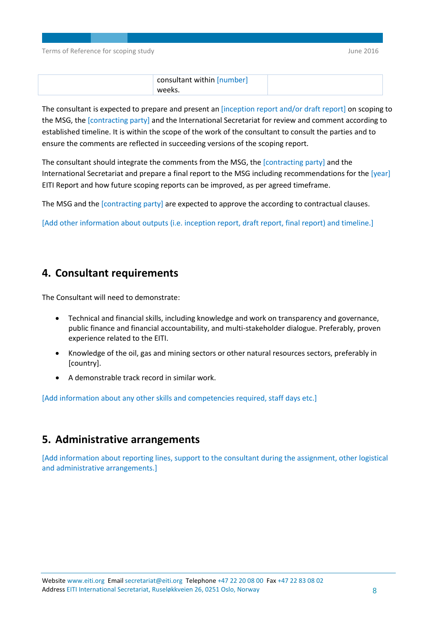Terms of Reference for scoping study and the study of the study of the 2016 and 2016

| consultant within [number] |  |
|----------------------------|--|
| weeks.                     |  |

The consultant is expected to prepare and present an [inception report and/or draft report] on scoping to the MSG, the [contracting party] and the International Secretariat for review and comment according to established timeline. It is within the scope of the work of the consultant to consult the parties and to ensure the comments are reflected in succeeding versions of the scoping report.

The consultant should integrate the comments from the MSG, the [contracting party] and the International Secretariat and prepare a final report to the MSG including recommendations for the [year] EITI Report and how future scoping reports can be improved, as per agreed timeframe.

The MSG and the [contracting party] are expected to approve the according to contractual clauses.

[Add other information about outputs (i.e. inception report, draft report, final report) and timeline.]

## <span id="page-7-0"></span>**4. Consultant requirements**

The Consultant will need to demonstrate:

- Technical and financial skills, including knowledge and work on transparency and governance, public finance and financial accountability, and multi-stakeholder dialogue. Preferably, proven experience related to the EITI.
- Knowledge of the oil, gas and mining sectors or other natural resources sectors, preferably in [country].
- A demonstrable track record in similar work.

[Add information about any other skills and competencies required, staff days etc.]

## <span id="page-7-1"></span>**5. Administrative arrangements**

<span id="page-7-2"></span>[Add information about reporting lines, support to the consultant during the assignment, other logistical and administrative arrangements.]